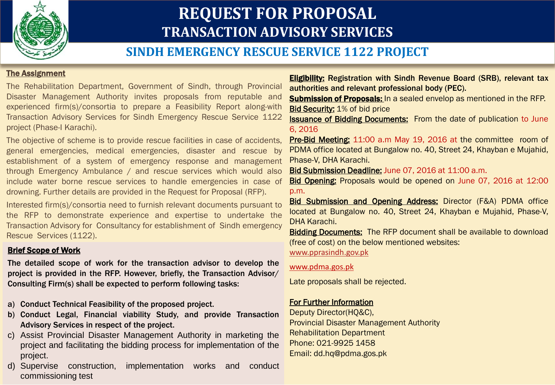

# **REQUEST FOR PROPOSAL TRANSACTION ADVISORY SERVICES**

# **SINDH EMERGENCY RESCUE SERVICE 1122 PROJECT**

#### The Assignment

The Rehabilitation Department, Government of Sindh, through Provincial Disaster Management Authority invites proposals from reputable and experienced firm(s)/consortia to prepare a Feasibility Report along-with Transaction Advisory Services for Sindh Emergency Rescue Service 1122 project (Phase-I Karachi).

The objective of scheme is to provide rescue facilities in case of accidents, general emergencies, medical emergencies, disaster and rescue by establishment of a system of emergency response and management through Emergency Ambulance / and rescue services which would also include water borne rescue services to handle emergencies in case of drowning. Further details are provided in the Request for Proposal (RFP).

Interested firm(s)/consortia need to furnish relevant documents pursuant to the RFP to demonstrate experience and expertise to undertake the Transaction Advisory for Consultancy for establishment of Sindh emergency Rescue Services (1122).

#### Brief Scope of Work

The detailed scope of work for the transaction advisor to develop the project is provided in the RFP. However, briefly, the Transaction Advisor/ Consulting Firm(s) shall be expected to perform following tasks:

- a) Conduct Technical Feasibility of the proposed project.
- b) Conduct Legal, Financial viability Study, and provide Transaction Advisory Services in respect of the project.
- c) Assist Provincial Disaster Management Authority in marketing the project and facilitating the bidding process for implementation of the project.
- d) Supervise construction, implementation works and conduct commissioning test

**Eligibility:** Registration with Sindh Revenue Board (SRB), relevant tax authorities and relevant professional body (PEC).

**Submission of Proposals:** In a sealed envelop as mentioned in the RFP. Bid Security: 1% of bid price

Issuance of Bidding Documents: From the date of publication to June 6, 2016

Pre-Bid Meeting: 11:00 a.m May 19, 2016 at the committee room of PDMA office located at Bungalow no. 40, Street 24, Khayban e Mujahid, Phase-V, DHA Karachi.

Bid Submission Deadline: June 07, 2016 at 11:00 a.m.

Bid Opening: Proposals would be opened on June 07, 2016 at 12:00 p.m.

Bid Submission and Opening Address: Director (F&A) PDMA office located at Bungalow no. 40, Street 24, Khayban e Mujahid, Phase-V, DHA Karachi.

**Bidding Documents:** The RFP document shall be available to download (free of cost) on the below mentioned websites:

[www.pprasindh.gov.pk](http://www.pprasindh.gov.pk/)

#### www.pdma.gos.pk

Late proposals shall be rejected.

### For Further Information

Deputy Director(HQ&C), Provincial Disaster Management Authority Rehabilitation Department Phone: 021-9925 1458 Email: dd.hq@pdma.gos.pk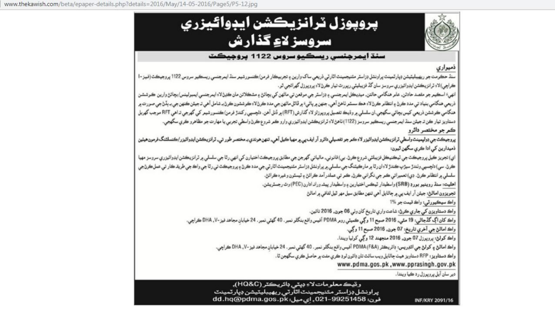



## سنڌ ايمرجنسي ريسڪيو سروس 1122 پروجيڪٽ

# ذميواري

سنڌ حڪومت جو ريهيبليٽيشن ڊپارٽمينٽ پراونشل ڊزاسٽر مئنيجمينٽ اٿارٽي ذريعي ساک وارين ۽ تجربيڪار فرمن/ڪنسورشيمر سنڌ ايمرجنسي ريسڪيو سروس 1122 پروجيڪٽ (فيز-ا ڪراچي) لاءِ ٽرانزيڪشن ايڊوائيزري سروسز سان گڏ فزيبليٽي رپورٽ تيار ڪرڻ لاءِ پروپوزل گهرائجي ٿو.

انهيءَ اسڪيم جو مقصد حادثن. عامر هنگامي حالتن. ميڊيڪل ايمرجنسي ۽ ڊزاسٽر جي موقعن تي ماڻهن کي بچائڻ ۽ مشڪلاتن مان ڪڍڻ لاءِ ايمرجنسي ايمبولينس/بچائڻ وارين ڪوششن ذريعي هنگامي بنياد تي مدد ڪرڻ ۽ انتظام ڪرڻلاءِ هڪ سسٽم ٺاهڻ آهي. جنهن ۾ پاڻيءَ ۾ ڦاٿل ماڻهن جي مدد ڪرڻلاءِ ڪوششون ڪرڻ بـ شامل آهي تـ جيئن ڪنهن جي بـ بڏڻ جي صورت ۾ هنگامي ڪوششن ذريعي کيس بچائي سگهجي.ان سلسلي ۾ وڌيڪ تفصيل پروپوزلز لاءِ گذارش (RFT) ۾ ڏنل آهن. دلچسپي رکندڙ فرمن/ڪنسورشيم کي گهرجي تراهي RFT موجب گهربل دستاويز تيار ڪن ترجيئن سنڌ ايمرجنسي ريسڪيو سروسز (1122) ٺاهڻ لاءِ ٽرانزيڪشن ايڊوائيزري وارو ڪم شروع ڪرڻ واسطي تجربي يا مهارت جو مظاهرو ڪري سگهجي. ڪم جو مختصر دائرو

پروجيڪٽ جي ڊولپمينٽ واسطي ٽرانزيڪشن ايڊوائيزر لاءِ ڪر جو تفصيلي دائرو آر ايف پي ۾ مهيا ڪيل آهي. تنهن هرندي بہ ختصر طور تي. ٽرانزيڪشن ايڊوائيزر/ڪنسلٽنگ فرمون هيٺين ذميدارين کی ادا ڪري سگهن ٿيون:

اي) تجويز ڪيل پروجيڪٽ جي ٽيڪنيڪل فزيبلٽي شروع ڪرڻ. بي) قانوني، مالياتي گهرجن جي مطابق پروجيڪٽ اختيارن کي انهي رٿا جي سلسلي ۾ ٽرانزيڪشن ايڊوائيزري سروسز مهيا ڪرڻ. سي) دلچسپي وٺندڙ سيڙپ ڪندڙ لاءِ ان رٿا ۾ مارڪيٽنگ جي سلسلي ۾ پراونشل ڊزاسٽر مٽنيجمينت آلارٽي جي مدد ڪرڻ ۽ پروجيڪٽ تي رٿا جي واڪ جي طريق ڪار تي عمل ڪرڻ جي سلسلي ۾ انتظامر ڪرڻ. ڊي) تعميراتي ڪم جي نگراني ڪرڻ. ڪم تي عملدر آمد ڪرائڻ ۽ ٽيسٽون وغيره ڪرائڻ.

اهليت: سنڌ روينيو بورڊ (SRB) واسطيدار ٽيڪس اختيارين ۽ واسطيدار پيش وران ادارن (PEC) وٽ رجسٽريشن.

تجویزون اماٹن: جیئن آر ایف پی ۾ ڄاڻايل آهي تنهن مطابق سيل مهر ٿيل لفافي ۾ اماڻڻ

واڪ سيڪيورٽي: واڪ قيمت جو 1%

واڪ دستاويزن کي جاري ڪرڻ: شاعت واري تاريخ کان وٺي 06 جون. 2016 تائين.

راڪ کان اڳ گڏجاڻي: 19 مئي، 2016 صبح 11 رڳي ڪميٽي روم PDMA آفيس راقع بنگلر نمبر. 40 گهٽي نمبر. 24 خيابان مجاهد فيز -V، DHA ڪراچي.

واڪ اماڻڻ جي آخري تاريخ: 07 جون, 2016 صبح 11 وڳي.

واڪ کولڻ: پرويوزل 07 جون, 2016 منجهند 12 وڳي کوليا ويندا.

واڪ اماڻڻ ۽ کولڻ جي ائڊريس: ڊائريڪٽر (PDMA (F&A آفيس راقع بنگلر نمبر . 40 گهٽي نمبر . 24 خيابان مجاهد فيز -V، DHA ڪراچي.

واڪ دستاويز : RFP دستاويز هيٺ ڄاڻايل ويب سائٽ تان ڊائون لوڊ ڪري مفت ۾ حاصل ڪري سگهجن ٿا.

www.pdma.gos.pk,www.pprasingh.gov.pk

دير سان آيل پروپوزل رد ڪيا ويندا.

و ٿيڪ معلومات لاءِ ڊيٽي ڊائريڪٽر (HQ&C). پراونشل ڊزاسٽر مئنيجمينٽ اٿآرٽي ريهيبليٽيشن ڊپارٽمينٽ فون: 021-99251458.pk. ای میل: dd.hq@pdma.gos.pk

INF/KRY 2091/16